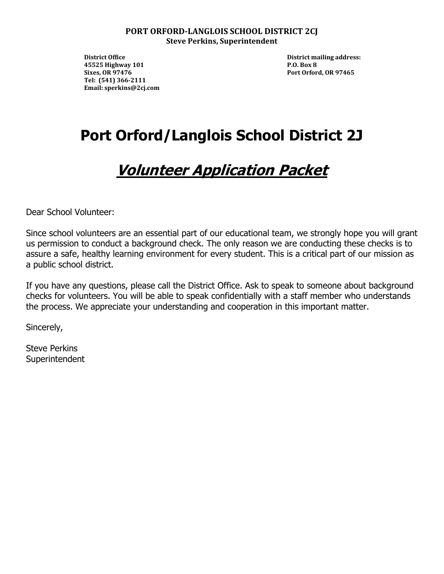#### **PORT ORFORD-LANGLOIS SCHOOL DISTRICT 2CJ Steve Perkins, Superintendent**

**District Office** District mailing address:  **45525 Highway 101 P.O. Box 8 Sixes, OR 97476 Port Orford, OR 97465 Tel: (541) 366-2111 Email: sperkins@2cj.com**

# **Port Orford/Langlois School District 2J**

## **Volunteer Application Packet**

Dear School Volunteer:

Since school volunteers are an essential part of our educational team, we strongly hope you will grant us permission to conduct a background check. The only reason we are conducting these checks is to assure a safe, healthy learning environment for every student. This is a critical part of our mission as a public school district.

If you have any questions, please call the District Office. Ask to speak to someone about background checks for volunteers. You will be able to speak confidentially with a staff member who understands the process. We appreciate your understanding and cooperation in this important matter.

Sincerely,

Steve Perkins **Superintendent**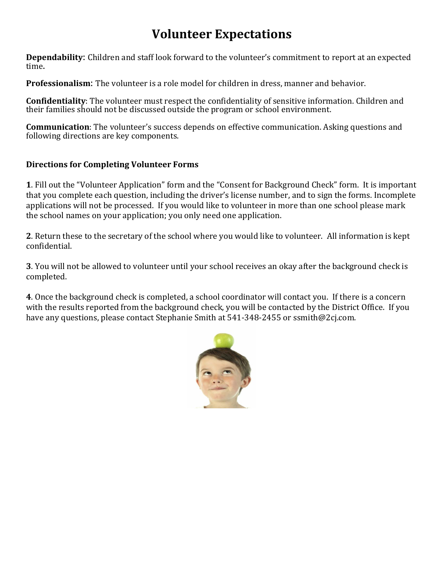## **Volunteer Expectations**

**Dependability**: Children and staff look forward to the volunteer's commitment to report at an expected time.

**Professionalism**: The volunteer is a role model for children in dress, manner and behavior.

**Confidentiality**: The volunteer must respect the confidentiality of sensitive information. Children and their families should not be discussed outside the program or school environment.

**Communication**: The volunteer's success depends on effective communication. Asking questions and following directions are key components.

#### **Directions for Completing Volunteer Forms**

**1**. Fill out the "Volunteer Application" form and the "Consent for Background Check" form. It is important that you complete each question, including the driver's license number, and to sign the forms. Incomplete applications will not be processed. If you would like to volunteer in more than one school please mark the school names on your application; you only need one application.

**2**. Return these to the secretary of the school where you would like to volunteer. All information is kept confidential.

**3**. You will not be allowed to volunteer until your school receives an okay after the background check is completed.

**4**. Once the background check is completed, a school coordinator will contact you. If there is a concern with the results reported from the background check, you will be contacted by the District Office. If you have any questions, please contact Stephanie Smith at 541-348-2455 or ssmith@2cj.com.